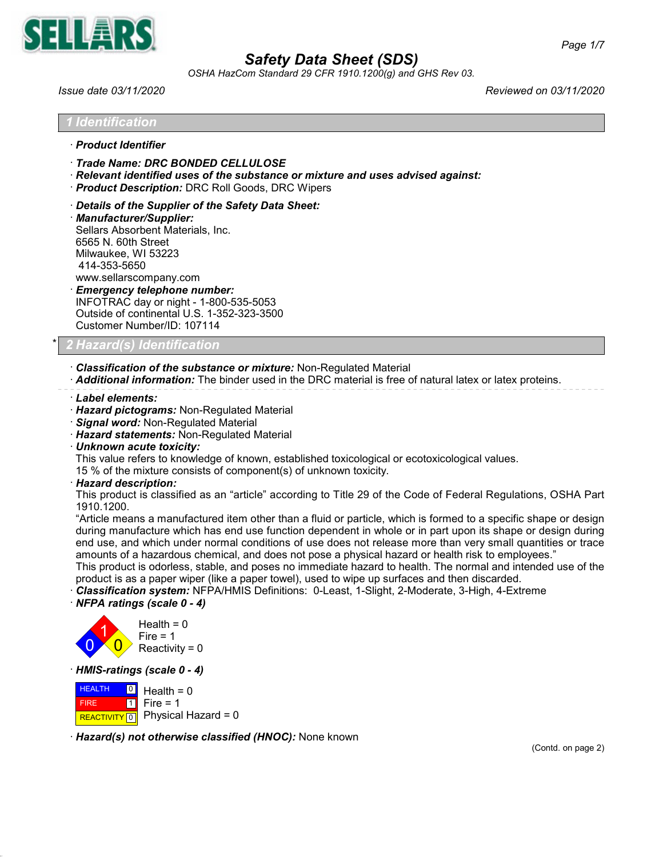

*OSHA HazCom Standard 29 CFR 1910.1200(g) and GHS Rev 03.*

*Issue date 03/11/2020 Reviewed on 03/11/2020*

## *1 Identification*

## · *Product Identifier*

- · *Trade Name: DRC BONDED CELLULOSE*
- · *Relevant identified uses of the substance or mixture and uses advised against:*
- · *Product Description:* DRC Roll Goods, DRC Wipers
- · *Details of the Supplier of the Safety Data Sheet:*
- · *Manufacturer/Supplier:* Sellars Absorbent Materials, Inc. 6565 N. 60th Street Milwaukee, WI 53223 414-353-5650 www.sellarscompany.com
- · *Emergency telephone number:* INFOTRAC day or night - 1-800-535-5053 Outside of continental U.S. 1-352-323-3500 Customer Number/ID: 107114

# \* *2 Hazard(s) Identification*

· *Classification of the substance or mixture:* Non-Regulated Material

· *Additional information:* The binder used in the DRC material is free of natural latex or latex proteins.

- · *Label elements:*
- · *Hazard pictograms:* Non-Regulated Material
- · *Signal word:* Non-Regulated Material
- · *Hazard statements:* Non-Regulated Material
- · *Unknown acute toxicity:*

This value refers to knowledge of known, established toxicological or ecotoxicological values.

15 % of the mixture consists of component(s) of unknown toxicity.

· *Hazard description:*

This product is classified as an "article" according to Title 29 of the Code of Federal Regulations, OSHA Part 1910.1200.

"Article means a manufactured item other than a fluid or particle, which is formed to a specific shape or design during manufacture which has end use function dependent in whole or in part upon its shape or design during end use, and which under normal conditions of use does not release more than very small quantities or trace amounts of a hazardous chemical, and does not pose a physical hazard or health risk to employees."

This product is odorless, stable, and poses no immediate hazard to health. The normal and intended use of the product is as a paper wiper (like a paper towel), used to wipe up surfaces and then discarded.

- · *Classification system:* NFPA/HMIS Definitions: 0-Least, 1-Slight, 2-Moderate, 3-High, 4-Extreme
- · *NFPA ratings (scale 0 4)*



· *HMIS-ratings (scale 0 - 4)*

**HEALTH**  FIRE **REACTIVITY** 0  $\overline{0}$  $\overline{1}$  $Health = 0$ Fire  $= 1$ Physical Hazard = 0

· *Hazard(s) not otherwise classified (HNOC):* None known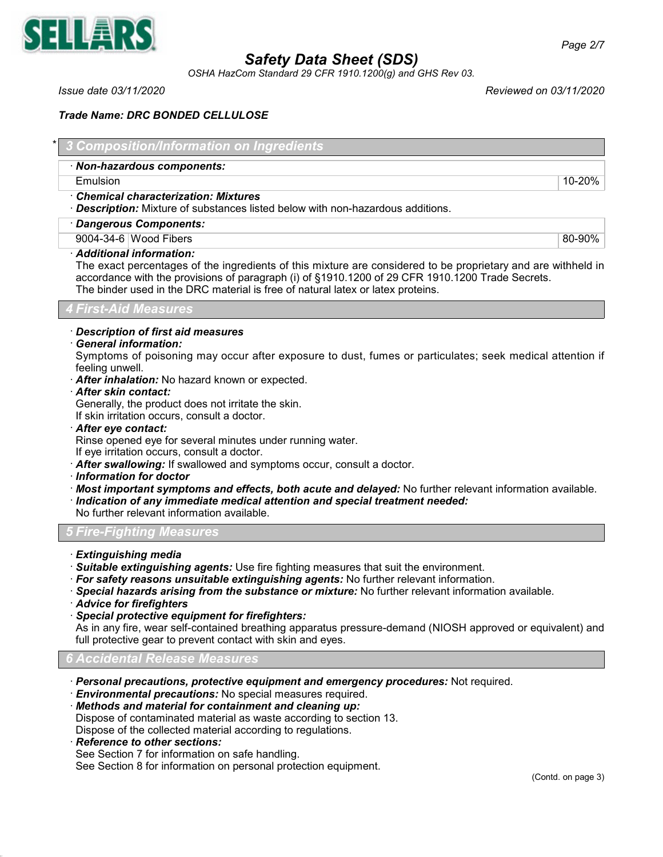

*OSHA HazCom Standard 29 CFR 1910.1200(g) and GHS Rev 03.*

*Issue date 03/11/2020 Reviewed on 03/11/2020*

# *Trade Name: DRC BONDED CELLULOSE*

| * 3 Composition/Information on Ingredients |  |  |  |
|--------------------------------------------|--|--|--|
|                                            |  |  |  |

## · *Non-hazardous components:*

Emulsion 10-20%

### · *Chemical characterization: Mixtures*

- · *Description:* Mixture of substances listed below with non-hazardous additions.
- · *Dangerous Components:*

9004-34-6 Wood Fibers 80-90%

## · *Additional information:*

The exact percentages of the ingredients of this mixture are considered to be proprietary and are withheld in accordance with the provisions of paragraph (i) of §1910.1200 of 29 CFR 1910.1200 Trade Secrets. The binder used in the DRC material is free of natural latex or latex proteins.

## *4 First-Aid Measures*

## · *Description of first aid measures*

## · *General information:*

Symptoms of poisoning may occur after exposure to dust, fumes or particulates; seek medical attention if feeling unwell.

- · *After inhalation:* No hazard known or expected.
- · *After skin contact:*

Generally, the product does not irritate the skin.

If skin irritation occurs, consult a doctor.

### · *After eye contact:*

Rinse opened eye for several minutes under running water.

If eye irritation occurs, consult a doctor.

- · *After swallowing:* If swallowed and symptoms occur, consult a doctor.
- · *Information for doctor*
- · *Most important symptoms and effects, both acute and delayed:* No further relevant information available.
- · *Indication of any immediate medical attention and special treatment needed:*

No further relevant information available.

## *5 Fire-Fighting Measures*

- · *Extinguishing media*
- · *Suitable extinguishing agents:* Use fire fighting measures that suit the environment.
- · *For safety reasons unsuitable extinguishing agents:* No further relevant information.
- · *Special hazards arising from the substance or mixture:* No further relevant information available.
- · *Advice for firefighters*
- · *Special protective equipment for firefighters:*

As in any fire, wear self-contained breathing apparatus pressure-demand (NIOSH approved or equivalent) and full protective gear to prevent contact with skin and eyes.

*6 Accidental Release Measures*

· *Personal precautions, protective equipment and emergency procedures:* Not required.

· *Environmental precautions:* No special measures required.

· *Methods and material for containment and cleaning up:*

Dispose of contaminated material as waste according to section 13.

Dispose of the collected material according to regulations.

· *Reference to other sections:*

See Section 7 for information on safe handling.

See Section 8 for information on personal protection equipment.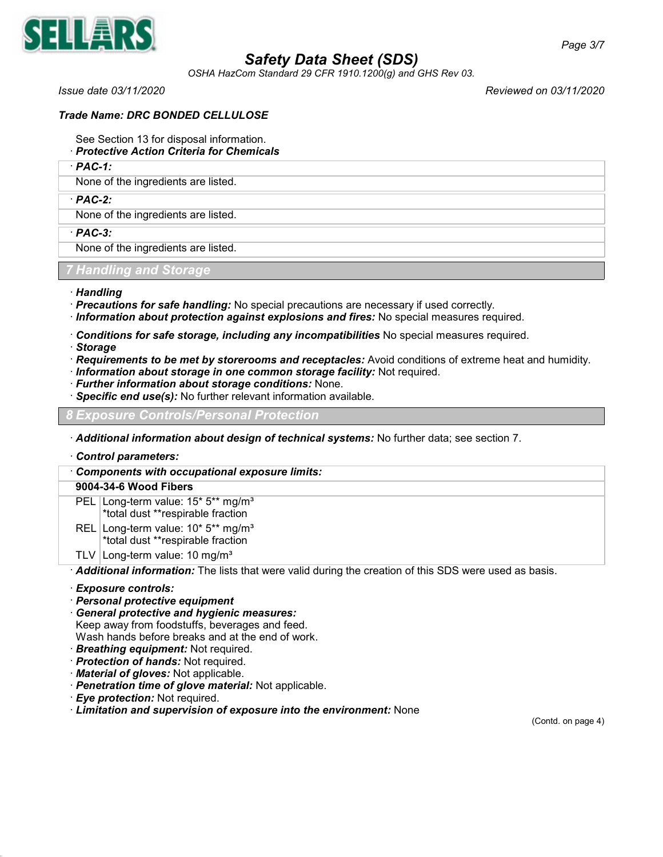

*OSHA HazCom Standard 29 CFR 1910.1200(g) and GHS Rev 03.*

*Issue date 03/11/2020 Reviewed on 03/11/2020*

## *Trade Name: DRC BONDED CELLULOSE*

- See Section 13 for disposal information.
- · *Protective Action Criteria for Chemicals*
- · *PAC-1:*

None of the ingredients are listed.

### · *PAC-2:*

None of the ingredients are listed.

· *PAC-3:*

None of the ingredients are listed.

## *7 Handling and Storage*

- · *Handling*
- · *Precautions for safe handling:* No special precautions are necessary if used correctly.
- · *Information about protection against explosions and fires:* No special measures required.
- · *Conditions for safe storage, including any incompatibilities* No special measures required.
- · *Storage*
- · *Requirements to be met by storerooms and receptacles:* Avoid conditions of extreme heat and humidity.
- · *Information about storage in one common storage facility:* Not required.
- · *Further information about storage conditions:* None.
- · *Specific end use(s):* No further relevant information available.

## *8 Exposure Controls/Personal Protection*

· *Additional information about design of technical systems:* No further data; see section 7.

### · *Control parameters:*

· *Components with occupational exposure limits:*

### **9004-34-6 Wood Fibers**

- PEL Long-term value: 15\* 5\*\* mg/m<sup>3</sup> \*total dust \*\*respirable fraction
- REL Long-term value: 10\* 5\*\* mg/m<sup>3</sup> \*total dust \*\*respirable fraction
- TLV Long-term value: 10 mg/m<sup>3</sup>

· *Additional information:* The lists that were valid during the creation of this SDS were used as basis.

### · *Exposure controls:*

- · *Personal protective equipment*
- · *General protective and hygienic measures:* Keep away from foodstuffs, beverages and feed.

Wash hands before breaks and at the end of work.

- · *Breathing equipment:* Not required.
- · *Protection of hands:* Not required.
- · *Material of gloves:* Not applicable.
- · *Penetration time of glove material:* Not applicable.
- · *Eye protection:* Not required.
- · *Limitation and supervision of exposure into the environment:* None

(Contd. on page 4)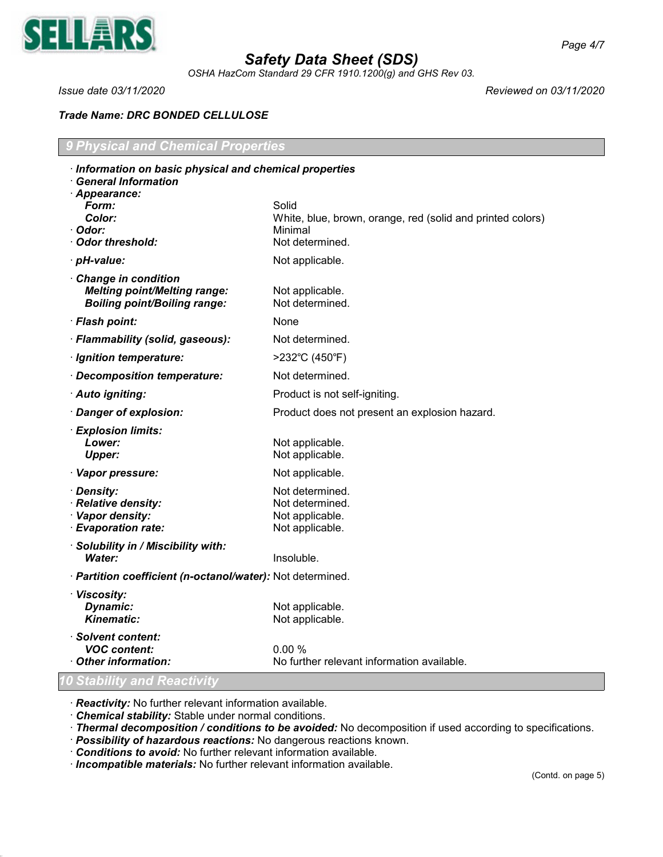

*OSHA HazCom Standard 29 CFR 1910.1200(g) and GHS Rev 03.*

*Issue date 03/11/2020 Reviewed on 03/11/2020*

# *Trade Name: DRC BONDED CELLULOSE*

| <b>9 Physical and Chemical Properties</b>                                                         |                                                                                                   |  |  |  |
|---------------------------------------------------------------------------------------------------|---------------------------------------------------------------------------------------------------|--|--|--|
| · Information on basic physical and chemical properties<br><b>General Information</b>             |                                                                                                   |  |  |  |
| · Appearance:<br>Form:<br>Color:<br>· Odor:<br>Odor threshold:                                    | Solid<br>White, blue, brown, orange, red (solid and printed colors)<br>Minimal<br>Not determined. |  |  |  |
| · pH-value:                                                                                       | Not applicable.                                                                                   |  |  |  |
| Change in condition<br><b>Melting point/Melting range:</b><br><b>Boiling point/Boiling range:</b> | Not applicable.<br>Not determined.                                                                |  |  |  |
| · Flash point:                                                                                    | None                                                                                              |  |  |  |
| · Flammability (solid, gaseous):                                                                  | Not determined.                                                                                   |  |  |  |
| · Ignition temperature:                                                                           | >232°C (450°F)                                                                                    |  |  |  |
| Decomposition temperature:                                                                        | Not determined.                                                                                   |  |  |  |
| · Auto igniting:                                                                                  | Product is not self-igniting.                                                                     |  |  |  |
| · Danger of explosion:                                                                            | Product does not present an explosion hazard.                                                     |  |  |  |
| · Explosion limits:<br>Lower:<br><b>Upper:</b>                                                    | Not applicable.<br>Not applicable.                                                                |  |  |  |
| · Vapor pressure:                                                                                 | Not applicable.                                                                                   |  |  |  |
| · Density:<br>· Relative density:<br>· Vapor density:<br>· Evaporation rate:                      | Not determined.<br>Not determined.<br>Not applicable.<br>Not applicable.                          |  |  |  |
| · Solubility in / Miscibility with:<br><b>Water:</b>                                              | Insoluble.                                                                                        |  |  |  |
| · Partition coefficient (n-octanol/water): Not determined.                                        |                                                                                                   |  |  |  |
| · Viscosity:<br>Dynamic:<br><b>Kinematic:</b>                                                     | Not applicable.<br>Not applicable.                                                                |  |  |  |
| · Solvent content:<br><b>VOC content:</b><br>Other information:                                   | 0.00%<br>No further relevant information available.                                               |  |  |  |
| 0 Stability and Reactivity                                                                        |                                                                                                   |  |  |  |

· *Reactivity:* No further relevant information available.

· *Chemical stability:* Stable under normal conditions.

· *Thermal decomposition / conditions to be avoided:* No decomposition if used according to specifications.

- · *Possibility of hazardous reactions:* No dangerous reactions known.
- · *Conditions to avoid:* No further relevant information available.

· *Incompatible materials:* No further relevant information available.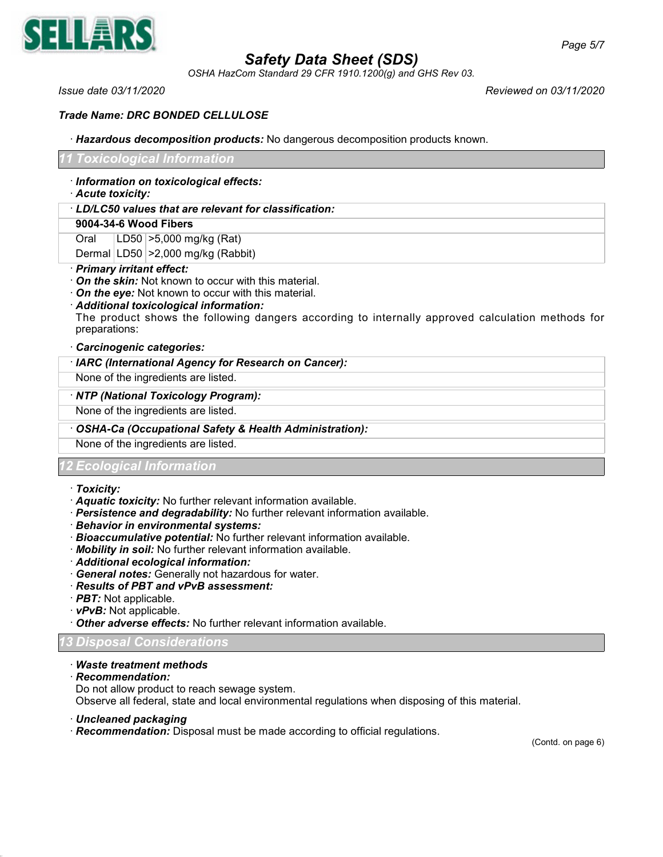

*OSHA HazCom Standard 29 CFR 1910.1200(g) and GHS Rev 03.*

*Issue date 03/11/2020 Reviewed on 03/11/2020*

# *Trade Name: DRC BONDED CELLULOSE*

· *Hazardous decomposition products:* No dangerous decomposition products known.

|      | Acute toxicity: | · Information on toxicological effects:              |
|------|-----------------|------------------------------------------------------|
|      |                 | LD/LC50 values that are relevant for classification: |
|      |                 | 9004-34-6 Wood Fibers                                |
| Oral |                 | $ LD50  > 5,000$ mg/kg (Rat)                         |
|      |                 | Dermal LD50 > 2,000 mg/kg (Rabbit)                   |

- **In the skin:** Not known to occur with this material.
- · *On the eye:* Not known to occur with this material.

· *Additional toxicological information:* The product shows the following dangers according to internally approved calculation methods for preparations:

### · *Carcinogenic categories:*

· *IARC (International Agency for Research on Cancer):*

None of the ingredients are listed.

### · *NTP (National Toxicology Program):*

None of the ingredients are listed.

· *OSHA-Ca (Occupational Safety & Health Administration):*

None of the ingredients are listed.

## *12 Ecological Information*

- · *Toxicity:*
- · *Aquatic toxicity:* No further relevant information available.
- · *Persistence and degradability:* No further relevant information available.
- · *Behavior in environmental systems:*
- · *Bioaccumulative potential:* No further relevant information available.
- · *Mobility in soil:* No further relevant information available.
- · *Additional ecological information:*
- · *General notes:* Generally not hazardous for water.
- · *Results of PBT and vPvB assessment:*
- · *PBT:* Not applicable.
- · *vPvB:* Not applicable.
- · *Other adverse effects:* No further relevant information available.

# *13 Disposal Considerations*

- · *Waste treatment methods*
- · *Recommendation:*
- Do not allow product to reach sewage system.

Observe all federal, state and local environmental regulations when disposing of this material.

- · *Uncleaned packaging*
- · *Recommendation:* Disposal must be made according to official regulations.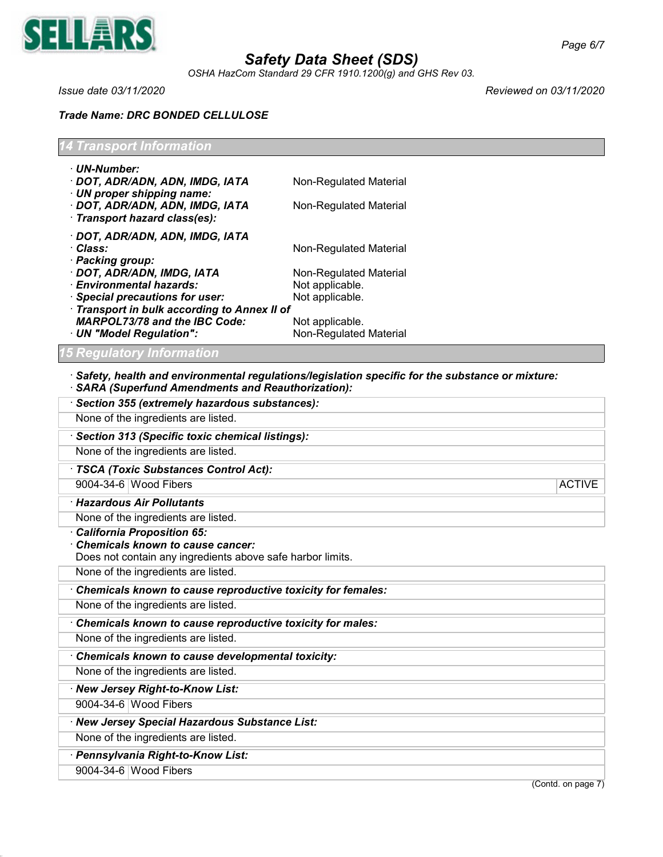

*OSHA HazCom Standard 29 CFR 1910.1200(g) and GHS Rev 03.*

*Issue date 03/11/2020 Reviewed on 03/11/2020*

# *Trade Name: DRC BONDED CELLULOSE*

| <b>14 Transport Information</b> |  |  |
|---------------------------------|--|--|
|                                 |  |  |

| · UN-Number:<br>· DOT, ADR/ADN, ADN, IMDG, IATA<br>$\cdot$ UN proper shipping name:<br>· DOT, ADR/ADN, ADN, IMDG, IATA<br>· Transport hazard class(es): | Non-Regulated Material<br>Non-Regulated Material |
|---------------------------------------------------------------------------------------------------------------------------------------------------------|--------------------------------------------------|
| · DOT, ADR/ADN, ADN, IMDG, IATA<br>∙ Class:<br>· Packing group:                                                                                         | Non-Regulated Material                           |
| · DOT, ADR/ADN, IMDG, IATA                                                                                                                              | Non-Regulated Material                           |
| · Environmental hazards:                                                                                                                                | Not applicable.                                  |
| · Special precautions for user:                                                                                                                         | Not applicable.                                  |
| · Transport in bulk according to Annex II of                                                                                                            |                                                  |
| <b>MARPOL73/78 and the IBC Code:</b>                                                                                                                    | Not applicable.                                  |
| · UN "Model Regulation":                                                                                                                                | Non-Regulated Material                           |

# *15 Regulatory Information*

# · *Safety, health and environmental regulations/legislation specific for the substance or mixture:*

| <b>SARA (Superfund Amendments and Reauthorization):</b>                                               |                    |
|-------------------------------------------------------------------------------------------------------|--------------------|
| Section 355 (extremely hazardous substances):                                                         |                    |
| None of the ingredients are listed.                                                                   |                    |
| Section 313 (Specific toxic chemical listings):                                                       |                    |
| None of the ingredients are listed.                                                                   |                    |
| · TSCA (Toxic Substances Control Act):                                                                |                    |
| 9004-34-6 Wood Fibers                                                                                 | <b>ACTIVE</b>      |
| · Hazardous Air Pollutants                                                                            |                    |
| None of the ingredients are listed.                                                                   |                    |
| <b>California Proposition 65:</b>                                                                     |                    |
| <b>Chemicals known to cause cancer:</b><br>Does not contain any ingredients above safe harbor limits. |                    |
| None of the ingredients are listed.                                                                   |                    |
|                                                                                                       |                    |
| Chemicals known to cause reproductive toxicity for females:                                           |                    |
| None of the ingredients are listed.                                                                   |                    |
| Chemicals known to cause reproductive toxicity for males:                                             |                    |
| None of the ingredients are listed.                                                                   |                    |
| Chemicals known to cause developmental toxicity:                                                      |                    |
| None of the ingredients are listed.                                                                   |                    |
| · New Jersey Right-to-Know List:                                                                      |                    |
| 9004-34-6 Wood Fibers                                                                                 |                    |
| · New Jersey Special Hazardous Substance List:                                                        |                    |
| None of the ingredients are listed.                                                                   |                    |
| · Pennsylvania Right-to-Know List:                                                                    |                    |
| 9004-34-6 Wood Fibers                                                                                 |                    |
|                                                                                                       | (Contd. on page 7) |
|                                                                                                       |                    |